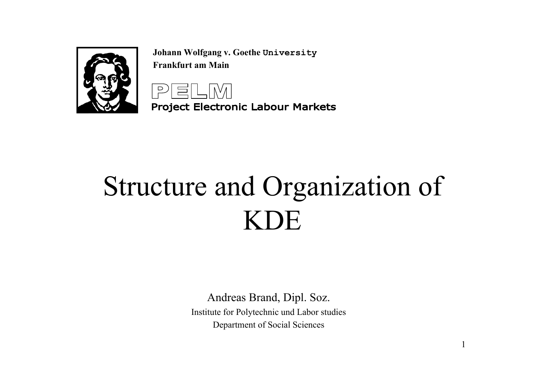

**Johann Wolfgang v. Goethe University Frankfurt am Main**



**Project Electronic Labour Markets** 

# Structure and Organization of KDE

Andreas Brand, Dipl. Soz. Institute for Polytechnic und Labor studies Department of Social Sciences

1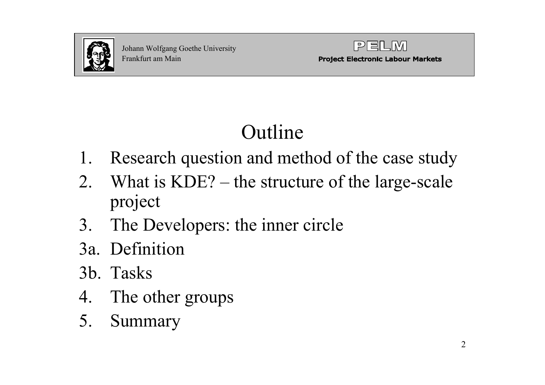



# Outline

- 1. Research question and method of the case study
- 2. What is KDE? the structure of the large-scale project
- 3. The Developers: the inner circle
- 3a. Definition
- 3b. Tasks
- 4. The other groups
- 5. Summary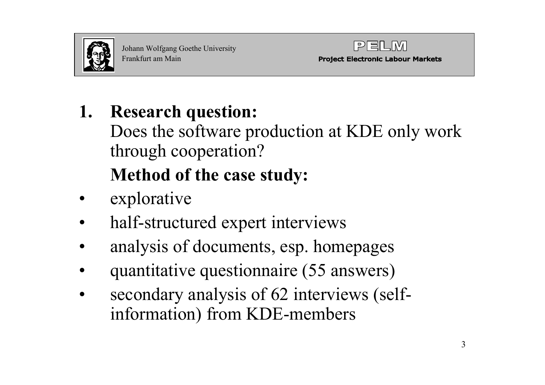



### **1. Research question:**

- Does the software production at KDE only work through cooperation? **Method of the case study:**
- •explorative
- •half-structured expert interviews
- •analysis of documents, esp. homepages
- •quantitative questionnaire (55 answers)
- • secondary analysis of 62 interviews (selfinformation) from KDE-members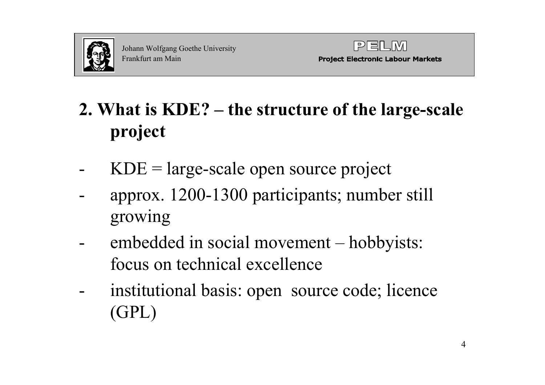

## **2. What is KDE? – the structure of the large-scale project**

- $KDE = large-scale open source project$
- approx. 1200-1300 participants; number still growing
- embedded in social movement hobbyists: focus on technical excellence
- institutional basis: open source code; licence (GPL)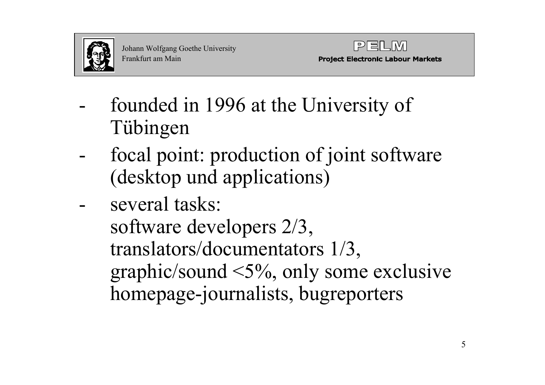

- founded in 1996 at the University of Tübingen
- focal point: production of joint software (desktop und applications)
- several tasks: software developers 2/3, translators/documentators 1/3, graphic/sound <5%, only some exclusive homepage-journalists, bugreporters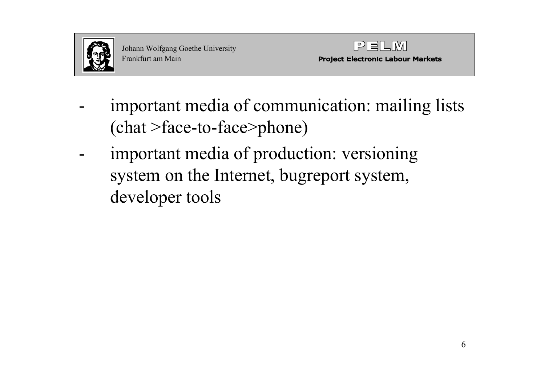



- important media of communication: mailing lists (chat >face-to-face>phone)
- important media of production: versioning system on the Internet, bugreport system, developer tools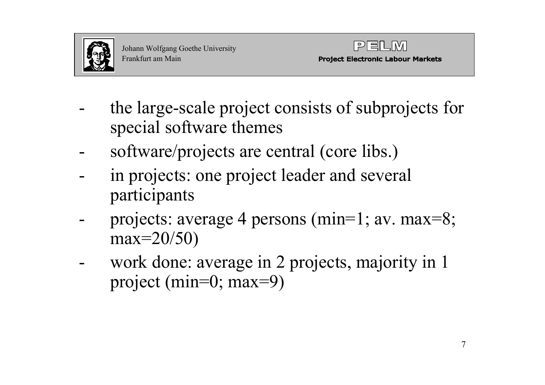

- the large-scale project consists of subprojects for special software themes
- software/projects are central (core libs.)
- in projects: one project leader and several participants
- projects: average 4 persons (min=1; av. max=8; max=20/50)
- work done: average in 2 projects, majority in 1 project (min=0; max=9)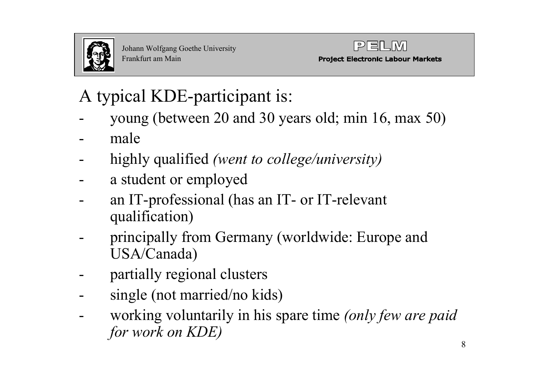

#### A typical KDE-participant is:

- young (between 20 and 30 years old; min 16, max 50)
- male
- highly qualified *(went to college/university)*
- a student or employed
- an IT-professional (has an IT- or IT-relevant qualification)
- principally from Germany (worldwide: Europe and USA/Canada)
- partially regional clusters
- single (not married/no kids)
- working voluntarily in his spare time *(only few are paid for work on KDE)*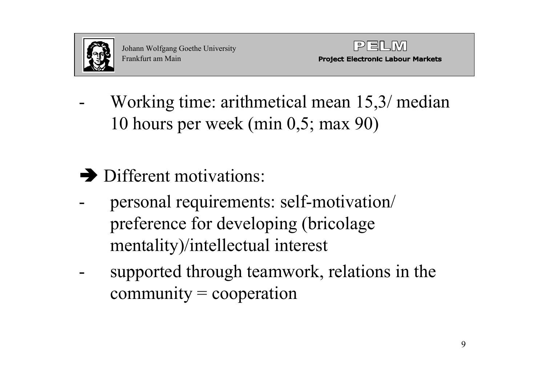

- Working time: arithmetical mean 15,3/ median 10 hours per week (min 0,5; max 90)
- $\rightarrow$  Different motivations:
- personal requirements: self-motivation/ preference for developing (bricolage mentality)/intellectual interest
- supported through teamwork, relations in the  $commuity = cooperation$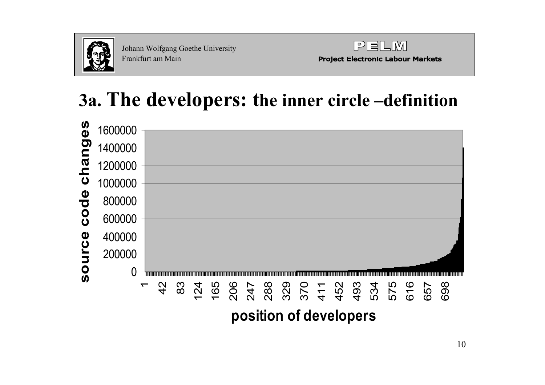

Johann W olfgang Goethe University Frankfurt am Main



**Project Electronic Labour Markets** 

### **3a. The developers: the inner circle –definition**

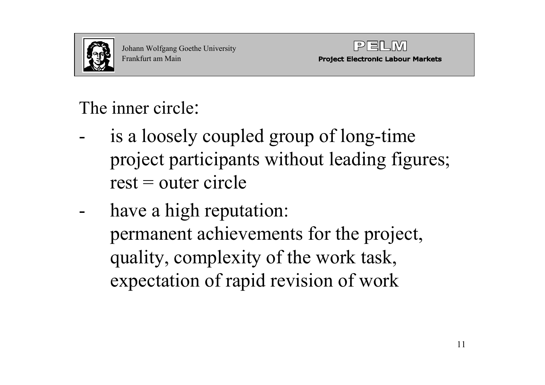

#### The inner circle:

- is a loosely coupled group of long-time project participants without leading figures;  $rest = outer circle$
- have a high reputation: permanent achievements for the project, quality, complexity of the work task, expectation of rapid revision of work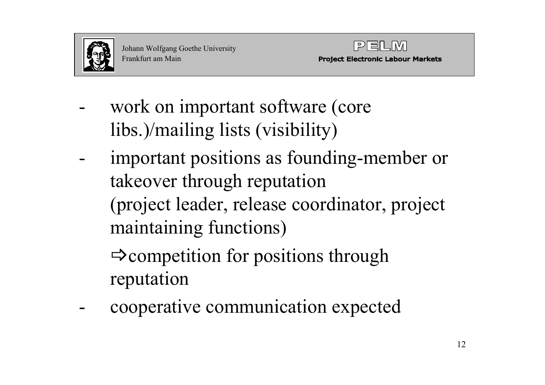

- work on important software (core libs.)/mailing lists (visibility)
- important positions as founding-member or takeover through reputation (project leader, release coordinator, project maintaining functions)

 $\Rightarrow$  competition for positions through reputation

cooperative communication expected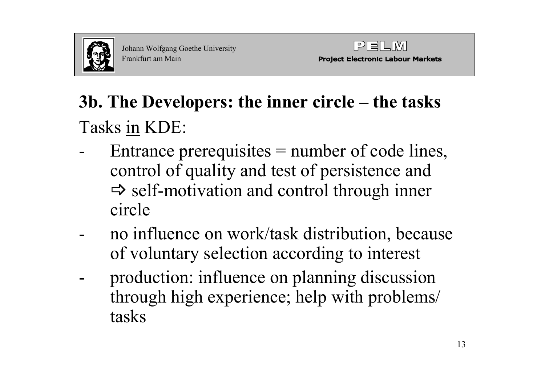

## **3b. The Developers: the inner circle – the tasks**  Tasks in KDE:

- Entrance prerequisites = number of code lines, control of quality and test of persistence and  $\Rightarrow$  self-motivation and control through inner circle
- no influence on work/task distribution, because of voluntary selection according to interest
- production: influence on planning discussion through high experience; help with problems/ tasks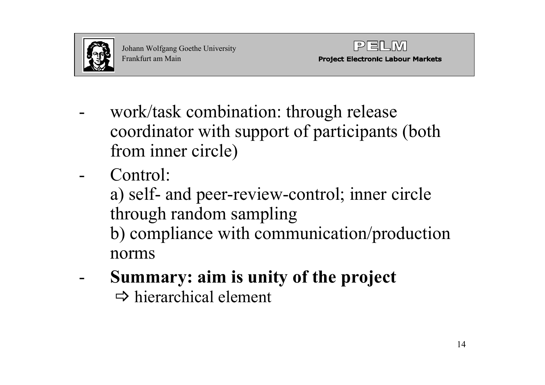

- work/task combination: through release coordinator with support of participants (both from inner circle)
- Control:
	- a) self- and peer-review-control; inner circle through random sampling
	- b) compliance with communication/production norms
- **Summary: aim is unity of the project**  $\Rightarrow$  hierarchical element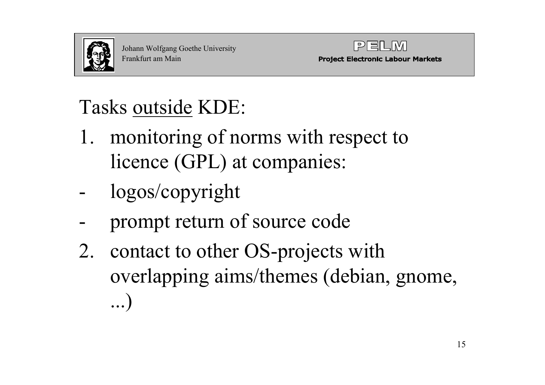

# Tasks outside KDE:

- 1. monitoring of norms with respect to licence (GPL) at companies:
- logos/copyright
- prompt return of source code
- 2. contact to other OS-projects with overlapping aims/themes (debian, gnome, ...)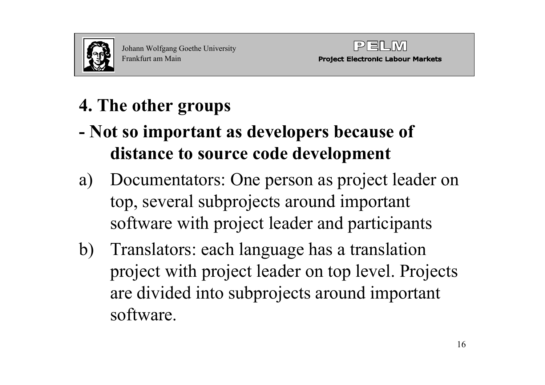

### **4. The other groups**

- **- Not so important as developers because of distance to source code development**
- a) Documentators: One person as project leader on top, several subprojects around important software with project leader and participants
- b) Translators: each language has a translation project with project leader on top level. Projects are divided into subprojects around important software.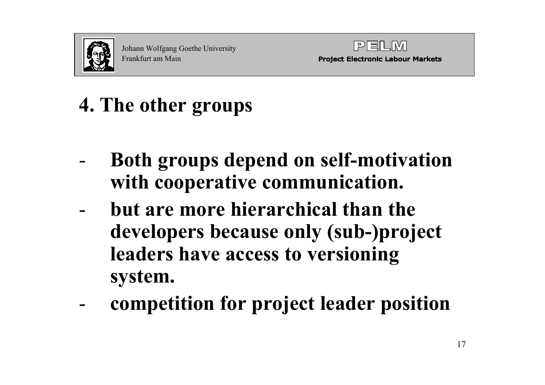



# **4. The other groups**

- **Both groups depend on self-motivation with cooperative communication.**
- **but are more hierarchical than the developers because only (sub-)project leaders have access to versioning system.**
- **competition for project leader position**